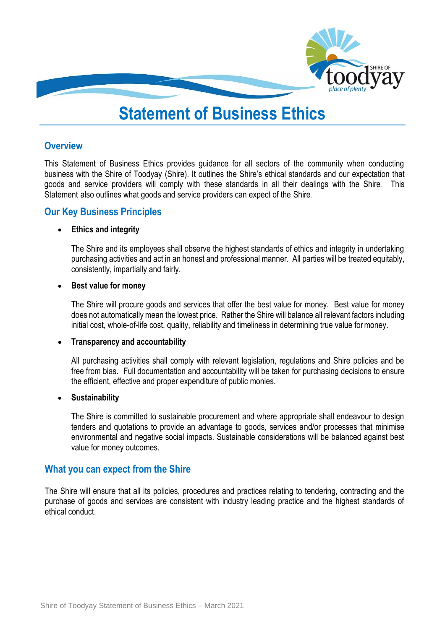

# **Statement of Business Ethics**

# **Overview**

This Statement of Business Ethics provides guidance for all sectors of the community when conducting business with the Shire of Toodyay (Shire). It outlines the Shire's ethical standards and our expectation that goods and service providers will comply with these standards in all their dealings with the Shire. This Statement also outlines what goods and service providers can expect of the Shire.

# **Our Key Business Principles**

#### • **Ethics and integrity**

The Shire and its employees shall observe the highest standards of ethics and integrity in undertaking purchasing activities and act in an honest and professional manner. All parties will be treated equitably, consistently, impartially and fairly.

#### • **Best value for money**

The Shire will procure goods and services that offer the best value for money. Best value for money does not automatically mean the lowest price. Rather the Shire will balance all relevant factors including initial cost, whole-of-life cost, quality, reliability and timeliness in determining true value formoney.

#### • **Transparency and accountability**

All purchasing activities shall comply with relevant legislation, regulations and Shire policies and be free from bias. Full documentation and accountability will be taken for purchasing decisions to ensure the efficient, effective and proper expenditure of public monies.

#### • **Sustainability**

The Shire is committed to sustainable procurement and where appropriate shall endeavour to design tenders and quotations to provide an advantage to goods, services and/or processes that minimise environmental and negative social impacts. Sustainable considerations will be balanced against best value for money outcomes.

## **What you can expect from the Shire**

The Shire will ensure that all its policies, procedures and practices relating to tendering, contracting and the purchase of goods and services are consistent with industry leading practice and the highest standards of ethical conduct.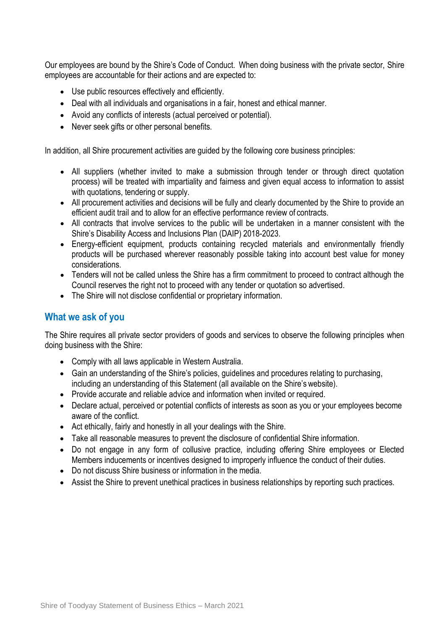Our employees are bound by the Shire's Code of Conduct. When doing business with the private sector, Shire employees are accountable for their actions and are expected to:

- Use public resources effectively and efficiently.
- Deal with all individuals and organisations in a fair, honest and ethical manner.
- Avoid any conflicts of interests (actual perceived or potential).
- Never seek gifts or other personal benefits.

In addition, all Shire procurement activities are guided by the following core business principles:

- All suppliers (whether invited to make a submission through tender or through direct quotation process) will be treated with impartiality and fairness and given equal access to information to assist with quotations, tendering or supply.
- All procurement activities and decisions will be fully and clearly documented by the Shire to provide an efficient audit trail and to allow for an effective performance review of contracts.
- All contracts that involve services to the public will be undertaken in a manner consistent with the Shire's Disability Access and Inclusions Plan (DAIP) 2018-2023.
- Energy-efficient equipment, products containing recycled materials and environmentally friendly products will be purchased wherever reasonably possible taking into account best value for money considerations.
- Tenders will not be called unless the Shire has a firm commitment to proceed to contract although the Council reserves the right not to proceed with any tender or quotation so advertised.
- The Shire will not disclose confidential or proprietary information.

# **What we ask of you**

The Shire requires all private sector providers of goods and services to observe the following principles when doing business with the Shire:

- Comply with all laws applicable in Western Australia.
- Gain an understanding of the Shire's policies, guidelines and procedures relating to purchasing, including an understanding of this Statement (all available on the Shire's website).
- Provide accurate and reliable advice and information when invited or required.
- Declare actual, perceived or potential conflicts of interests as soon as you or your employees become aware of the conflict.
- Act ethically, fairly and honestly in all your dealings with the Shire.
- Take all reasonable measures to prevent the disclosure of confidential Shire information.
- Do not engage in any form of collusive practice, including offering Shire employees or Elected Members inducements or incentives designed to improperly influence the conduct of their duties.
- Do not discuss Shire business or information in the media.
- Assist the Shire to prevent unethical practices in business relationships by reporting such practices.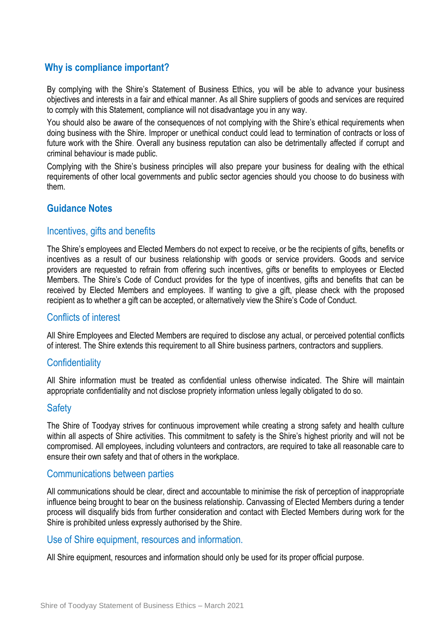# **Why is compliance important?**

By complying with the Shire's Statement of Business Ethics, you will be able to advance your business objectives and interests in a fair and ethical manner. As all Shire suppliers of goods and services are required to comply with this Statement, compliance will not disadvantage you in any way.

You should also be aware of the consequences of not complying with the Shire's ethical requirements when doing business with the Shire. Improper or unethical conduct could lead to termination of contracts or loss of future work with the Shire. Overall any business reputation can also be detrimentally affected if corrupt and criminal behaviour is made public.

Complying with the Shire's business principles will also prepare your business for dealing with the ethical requirements of other local governments and public sector agencies should you choose to do business with them.

# **Guidance Notes**

## Incentives, gifts and benefits

The Shire's employees and Elected Members do not expect to receive, or be the recipients of gifts, benefits or incentives as a result of our business relationship with goods or service providers. Goods and service providers are requested to refrain from offering such incentives, gifts or benefits to employees or Elected Members. The Shire's Code of Conduct provides for the type of incentives, gifts and benefits that can be received by Elected Members and employees. If wanting to give a gift, please check with the proposed recipient as to whether a gift can be accepted, or alternatively view the Shire's Code of Conduct.

## Conflicts of interest

All Shire Employees and Elected Members are required to disclose any actual, or perceived potential conflicts of interest. The Shire extends this requirement to all Shire business partners, contractors and suppliers.

## **Confidentiality**

All Shire information must be treated as confidential unless otherwise indicated. The Shire will maintain appropriate confidentiality and not disclose propriety information unless legally obligated to do so.

#### **Safety**

The Shire of Toodyay strives for continuous improvement while creating a strong safety and health culture within all aspects of Shire activities. This commitment to safety is the Shire's highest priority and will not be compromised. All employees, including volunteers and contractors, are required to take all reasonable care to ensure their own safety and that of others in the workplace.

#### Communications between parties

All communications should be clear, direct and accountable to minimise the risk of perception of inappropriate influence being brought to bear on the business relationship. Canvassing of Elected Members during a tender process will disqualify bids from further consideration and contact with Elected Members during work for the Shire is prohibited unless expressly authorised by the Shire.

## Use of Shire equipment, resources and information.

All Shire equipment, resources and information should only be used for its proper official purpose.